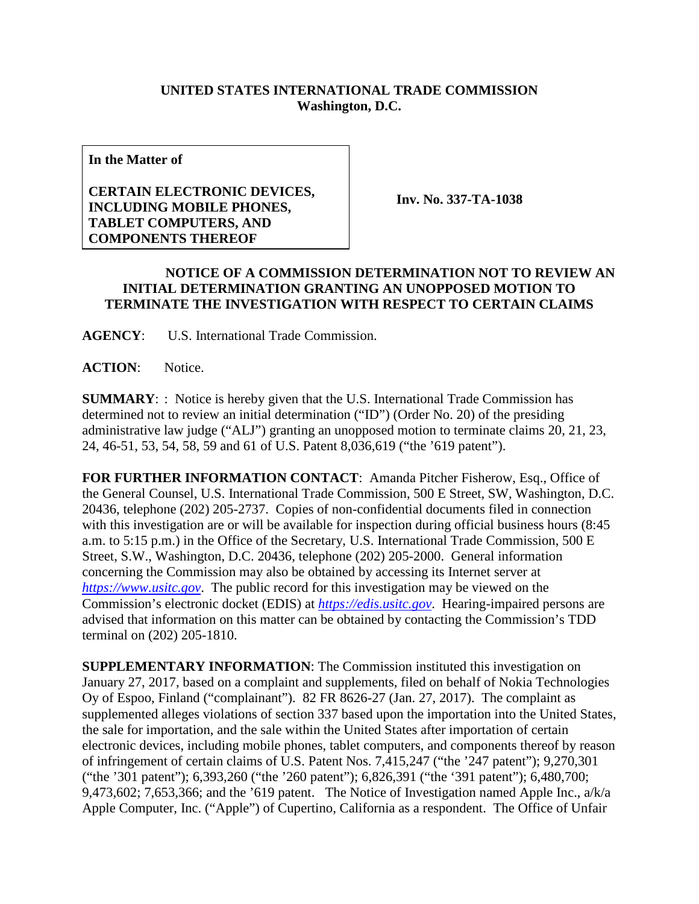## **UNITED STATES INTERNATIONAL TRADE COMMISSION Washington, D.C.**

**In the Matter of**

## **CERTAIN ELECTRONIC DEVICES, INCLUDING MOBILE PHONES, TABLET COMPUTERS, AND COMPONENTS THEREOF**

**Inv. No. 337-TA-1038**

## **NOTICE OF A COMMISSION DETERMINATION NOT TO REVIEW AN INITIAL DETERMINATION GRANTING AN UNOPPOSED MOTION TO TERMINATE THE INVESTIGATION WITH RESPECT TO CERTAIN CLAIMS**

**AGENCY**: U.S. International Trade Commission.

**ACTION**: Notice.

**SUMMARY**: : Notice is hereby given that the U.S. International Trade Commission has determined not to review an initial determination ("ID") (Order No. 20) of the presiding administrative law judge ("ALJ") granting an unopposed motion to terminate claims 20, 21, 23, 24, 46-51, 53, 54, 58, 59 and 61 of U.S. Patent 8,036,619 ("the '619 patent").

**FOR FURTHER INFORMATION CONTACT**: Amanda Pitcher Fisherow, Esq., Office of the General Counsel, U.S. International Trade Commission, 500 E Street, SW, Washington, D.C. 20436, telephone (202) 205-2737. Copies of non-confidential documents filed in connection with this investigation are or will be available for inspection during official business hours (8:45 a.m. to 5:15 p.m.) in the Office of the Secretary, U.S. International Trade Commission, 500 E Street, S.W., Washington, D.C. 20436, telephone (202) 205-2000. General information concerning the Commission may also be obtained by accessing its Internet server at *[https://www.usitc.gov](https://www.usitc.gov/)*. The public record for this investigation may be viewed on the Commission's electronic docket (EDIS) at *[https://edis.usitc.gov](https://edis.usitc.gov/)*. Hearing-impaired persons are advised that information on this matter can be obtained by contacting the Commission's TDD terminal on (202) 205-1810.

**SUPPLEMENTARY INFORMATION**: The Commission instituted this investigation on January 27, 2017, based on a complaint and supplements, filed on behalf of Nokia Technologies Oy of Espoo, Finland ("complainant"). 82 FR 8626-27 (Jan. 27, 2017). The complaint as supplemented alleges violations of section 337 based upon the importation into the United States, the sale for importation, and the sale within the United States after importation of certain electronic devices, including mobile phones, tablet computers, and components thereof by reason of infringement of certain claims of U.S. Patent Nos. 7,415,247 ("the '247 patent"); 9,270,301 ("the '301 patent"); 6,393,260 ("the '260 patent"); 6,826,391 ("the '391 patent"); 6,480,700; 9,473,602; 7,653,366; and the '619 patent. The Notice of Investigation named Apple Inc., a/k/a Apple Computer, Inc. ("Apple") of Cupertino, California as a respondent. The Office of Unfair